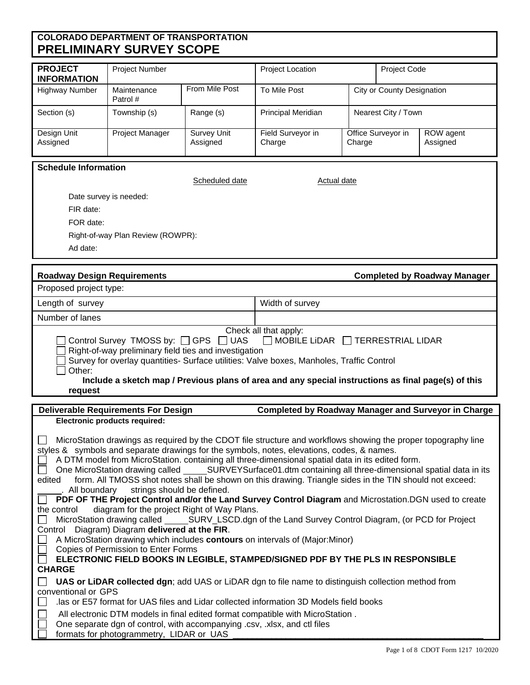## **COLORADO DEPARTMENT OF TRANSPORTATION PRELIMINARY SURVEY SCOPE**

| <b>PROJECT</b><br><b>INFORMATION</b> | <b>Project Number</b>   |                                | <b>Project Location</b>     |        | <b>Project Code</b>        |                       |
|--------------------------------------|-------------------------|--------------------------------|-----------------------------|--------|----------------------------|-----------------------|
| <b>Highway Number</b>                | Maintenance<br>Patrol # | From Mile Post                 | To Mile Post                |        | City or County Designation |                       |
| Section (s)                          | Township (s)            | Range (s)                      | <b>Principal Meridian</b>   |        | Nearest City / Town        |                       |
| Design Unit<br>Assigned              | Project Manager         | <b>Survey Unit</b><br>Assigned | Field Surveyor in<br>Charge | Charge | Office Surveyor in         | ROW agent<br>Assigned |

| <b>Schedule Information</b> |
|-----------------------------|
|-----------------------------|

| <b>Roadway Design Requirements</b> |                | <b>Completed by Roadway Manager</b> |
|------------------------------------|----------------|-------------------------------------|
| Ad date:                           |                |                                     |
| Right-of-way Plan Review (ROWPR):  |                |                                     |
| FOR date:                          |                |                                     |
| FIR date:                          |                |                                     |
| Date survey is needed:             |                |                                     |
|                                    | Scheduled date | Actual date                         |

| Length of survey      | Width of survey |  |
|-----------------------|-----------------|--|
| Number of lanes       |                 |  |
| Check all that apply: |                 |  |

| $\exists$ Control Survey TMOSS by: $\Box$ GPS $\Box$ UAS |  |  |  |  | $\Box$ MOBILE LIDAR $\Box$ TERRESTRIAL LIDAR |
|----------------------------------------------------------|--|--|--|--|----------------------------------------------|

Right-of-way preliminary field ties and investigation

Survey for overlay quantities- Surface utilities: Valve boxes, Manholes, Traffic Control  $\Box$  Other:

 **Include a sketch map / Previous plans of area and any special instructions as final page(s) of this request**

| Deliverable Requirements For Design                                                                                                                                                                                                                                                                                                                                                                                                                                                                         | Completed by Roadway Manager and Surveyor in Charge                                                                                                                                                                                                                                                                                                                                                                                                                                                                                      |
|-------------------------------------------------------------------------------------------------------------------------------------------------------------------------------------------------------------------------------------------------------------------------------------------------------------------------------------------------------------------------------------------------------------------------------------------------------------------------------------------------------------|------------------------------------------------------------------------------------------------------------------------------------------------------------------------------------------------------------------------------------------------------------------------------------------------------------------------------------------------------------------------------------------------------------------------------------------------------------------------------------------------------------------------------------------|
| Electronic products required:                                                                                                                                                                                                                                                                                                                                                                                                                                                                               |                                                                                                                                                                                                                                                                                                                                                                                                                                                                                                                                          |
| styles & symbols and separate drawings for the symbols, notes, elevations, codes, & names.<br>A DTM model from MicroStation. containing all three-dimensional spatial data in its edited form.<br>edited<br>_. All boundary strings should be defined.<br>the control diagram for the project Right of Way Plans.<br>Control Diagram) Diagram delivered at the FIR.<br>A MicroStation drawing which includes contours on intervals of (Major:Minor)<br>Copies of Permission to Enter Forms<br><b>CHARGE</b> | MicroStation drawings as required by the CDOT file structure and workflows showing the proper topography line<br>One MicroStation drawing called SURVEYSurface01.dtm containing all three-dimensional spatial data in its<br>form. All TMOSS shot notes shall be shown on this drawing. Triangle sides in the TIN should not exceed:<br><b>PDF OF THE Project Control and/or the Land Survey Control Diagram</b> and Microstation. DGN used to create<br>ELECTRONIC FIELD BOOKS IN LEGIBLE, STAMPED/SIGNED PDF BY THE PLS IN RESPONSIBLE |
|                                                                                                                                                                                                                                                                                                                                                                                                                                                                                                             | <b>UAS or LiDAR collected dgn;</b> add UAS or LiDAR dgn to file name to distinguish collection method from                                                                                                                                                                                                                                                                                                                                                                                                                               |
| conventional or GPS                                                                                                                                                                                                                                                                                                                                                                                                                                                                                         |                                                                                                                                                                                                                                                                                                                                                                                                                                                                                                                                          |
| las or E57 format for UAS files and Lidar collected information 3D Models field books.                                                                                                                                                                                                                                                                                                                                                                                                                      |                                                                                                                                                                                                                                                                                                                                                                                                                                                                                                                                          |
| All electronic DTM models in final edited format compatible with MicroStation.                                                                                                                                                                                                                                                                                                                                                                                                                              |                                                                                                                                                                                                                                                                                                                                                                                                                                                                                                                                          |
| One separate dgn of control, with accompanying .csv, .xlsx, and ctl files<br>formats for photogrammetry, LIDAR or UAS                                                                                                                                                                                                                                                                                                                                                                                       |                                                                                                                                                                                                                                                                                                                                                                                                                                                                                                                                          |
|                                                                                                                                                                                                                                                                                                                                                                                                                                                                                                             |                                                                                                                                                                                                                                                                                                                                                                                                                                                                                                                                          |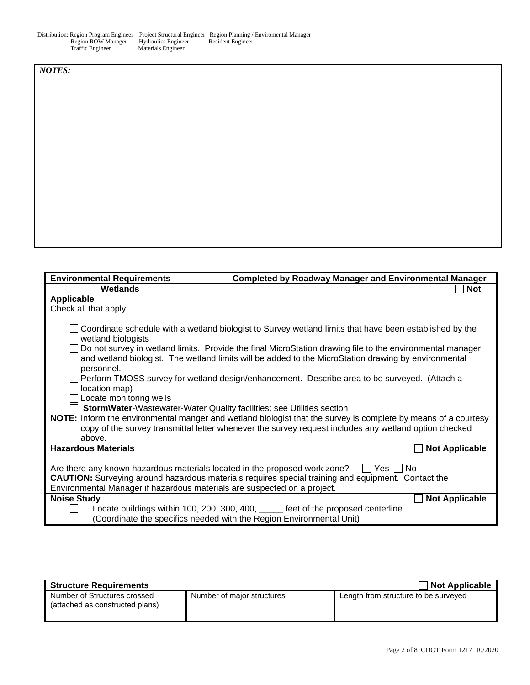|                    |                            | Distribution: Region Program Engineer Project Structural Engineer Region Planning / Enviromental Manager |
|--------------------|----------------------------|----------------------------------------------------------------------------------------------------------|
| Region ROW Manager | <b>Hydraulics Engineer</b> | Resident Engineer                                                                                        |
| Traffic Engineer   | Materials Engineer         |                                                                                                          |

*NOTES:* 

| <b>Environmental Requirements</b>                                             | <b>Completed by Roadway Manager and Environmental Manager</b>                                                                                                                                                     |
|-------------------------------------------------------------------------------|-------------------------------------------------------------------------------------------------------------------------------------------------------------------------------------------------------------------|
| Wetlands                                                                      | <b>Not</b>                                                                                                                                                                                                        |
| Applicable                                                                    |                                                                                                                                                                                                                   |
| Check all that apply:                                                         |                                                                                                                                                                                                                   |
|                                                                               |                                                                                                                                                                                                                   |
| wetland biologists                                                            | Coordinate schedule with a wetland biologist to Survey wetland limits that have been established by the                                                                                                           |
| personnel.                                                                    | Do not survey in wetland limits. Provide the final MicroStation drawing file to the environmental manager<br>and wetland biologist. The wetland limits will be added to the MicroStation drawing by environmental |
| location map)                                                                 | Perform TMOSS survey for wetland design/enhancement. Describe area to be surveyed. (Attach a                                                                                                                      |
| Locate monitoring wells                                                       |                                                                                                                                                                                                                   |
| <b>StormWater-</b> Wastewater-Water Quality facilities: see Utilities section |                                                                                                                                                                                                                   |
|                                                                               | NOTE: Inform the environmental manger and wetland biologist that the survey is complete by means of a courtesy                                                                                                    |
|                                                                               | copy of the survey transmittal letter whenever the survey request includes any wetland option checked                                                                                                             |
| above.                                                                        |                                                                                                                                                                                                                   |
| <b>Hazardous Materials</b>                                                    | <b>Not Applicable</b>                                                                                                                                                                                             |
| Are there any known hazardous materials located in the proposed work zone?    | l IYes I INo                                                                                                                                                                                                      |
|                                                                               | <b>CAUTION:</b> Surveying around hazardous materials requires special training and equipment. Contact the                                                                                                         |
| Environmental Manager if hazardous materials are suspected on a project.      |                                                                                                                                                                                                                   |
| <b>Noise Study</b>                                                            | <b>Not Applicable</b>                                                                                                                                                                                             |
|                                                                               | Locate buildings within 100, 200, 300, 400, ______ feet of the proposed centerline                                                                                                                                |
|                                                                               | (Coordinate the specifics needed with the Region Environmental Unit)                                                                                                                                              |

| <b>Structure Requirements</b>                                   |                            | Not Applicable                       |
|-----------------------------------------------------------------|----------------------------|--------------------------------------|
| Number of Structures crossed<br>(attached as constructed plans) | Number of major structures | Length from structure to be surveyed |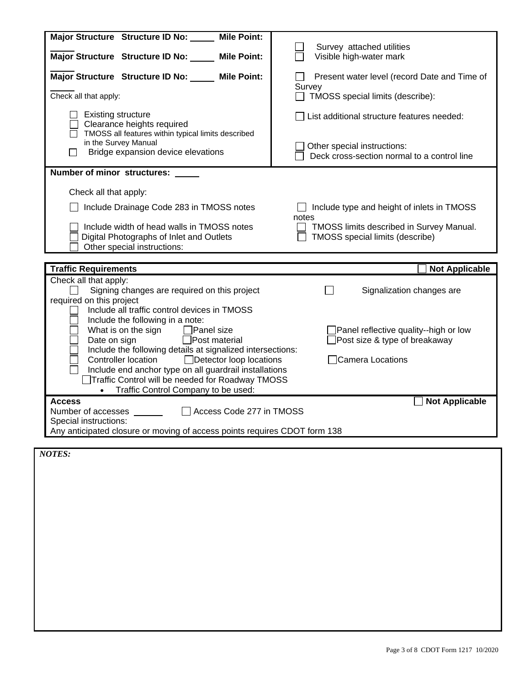| Major Structure Structure ID No:<br><b>Mile Point:</b>                                                                                                                                                                                                                                                                                                                                                                                                                                                                                                                                                                                                                       |                                                                                                                          |  |
|------------------------------------------------------------------------------------------------------------------------------------------------------------------------------------------------------------------------------------------------------------------------------------------------------------------------------------------------------------------------------------------------------------------------------------------------------------------------------------------------------------------------------------------------------------------------------------------------------------------------------------------------------------------------------|--------------------------------------------------------------------------------------------------------------------------|--|
| Major Structure Structure ID No: Mile Point:                                                                                                                                                                                                                                                                                                                                                                                                                                                                                                                                                                                                                                 | Survey attached utilities<br>Visible high-water mark                                                                     |  |
| Major Structure Structure ID No: Mile Point:                                                                                                                                                                                                                                                                                                                                                                                                                                                                                                                                                                                                                                 | Present water level (record Date and Time of                                                                             |  |
| Check all that apply:                                                                                                                                                                                                                                                                                                                                                                                                                                                                                                                                                                                                                                                        | Survey<br>TMOSS special limits (describe):<br>$\Box$                                                                     |  |
| <b>Existing structure</b><br>Clearance heights required<br>TMOSS all features within typical limits described<br>in the Survey Manual<br>Bridge expansion device elevations                                                                                                                                                                                                                                                                                                                                                                                                                                                                                                  | List additional structure features needed:<br>Other special instructions:<br>Deck cross-section normal to a control line |  |
| Number of minor structures: ___                                                                                                                                                                                                                                                                                                                                                                                                                                                                                                                                                                                                                                              |                                                                                                                          |  |
| Check all that apply:                                                                                                                                                                                                                                                                                                                                                                                                                                                                                                                                                                                                                                                        |                                                                                                                          |  |
| Include Drainage Code 283 in TMOSS notes                                                                                                                                                                                                                                                                                                                                                                                                                                                                                                                                                                                                                                     | Include type and height of inlets in TMOSS                                                                               |  |
| Include width of head walls in TMOSS notes<br>Digital Photographs of Inlet and Outlets<br>Other special instructions:                                                                                                                                                                                                                                                                                                                                                                                                                                                                                                                                                        | notes<br>TMOSS limits described in Survey Manual.<br>TMOSS special limits (describe)                                     |  |
|                                                                                                                                                                                                                                                                                                                                                                                                                                                                                                                                                                                                                                                                              | <b>Not Applicable</b>                                                                                                    |  |
| <b>Traffic Requirements</b><br>Check all that apply:<br>Signing changes are required on this project<br>Signalization changes are<br>required on this project<br>Include all traffic control devices in TMOSS<br>Include the following in a note:<br>What is on the sign $\Box$ Panel size<br>Panel reflective quality--high or low<br>Date on sign<br>$\Box$ Post material<br>Post size & type of breakaway<br>Include the following details at signalized intersections:<br>Camera Locations<br><b>Controller location</b><br>$\Box$ Detector loop locations<br>Include end anchor type on all guardrail installations<br>Traffic Control will be needed for Roadway TMOSS |                                                                                                                          |  |
|                                                                                                                                                                                                                                                                                                                                                                                                                                                                                                                                                                                                                                                                              |                                                                                                                          |  |
| Traffic Control Company to be used:                                                                                                                                                                                                                                                                                                                                                                                                                                                                                                                                                                                                                                          |                                                                                                                          |  |
| <b>Access</b><br>Access Code 277 in TMOSS<br>Number of accesses<br>Special instructions:<br>Any anticipated closure or moving of access points requires CDOT form 138                                                                                                                                                                                                                                                                                                                                                                                                                                                                                                        | <b>Not Applicable</b>                                                                                                    |  |
| <b>NOTES:</b>                                                                                                                                                                                                                                                                                                                                                                                                                                                                                                                                                                                                                                                                |                                                                                                                          |  |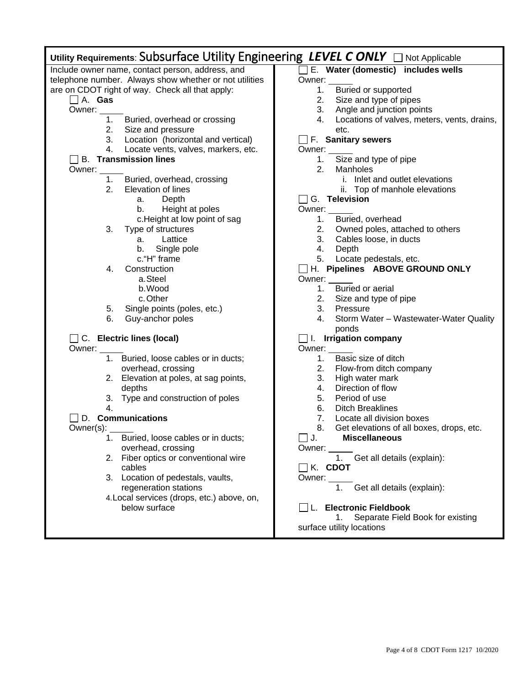| Utility Requirements: Subsurface Utility Engineering LEVEL CONLY $\Box$ Not Applicable |                                                   |
|----------------------------------------------------------------------------------------|---------------------------------------------------|
| Include owner name, contact person, address, and                                       | E. Water (domestic) includes wells                |
| telephone number. Always show whether or not utilities                                 | Owner:                                            |
| are on CDOT right of way. Check all that apply:                                        | Buried or supported<br>1.                         |
| $\Box$ A. Gas                                                                          | 2.<br>Size and type of pipes                      |
| Owner:                                                                                 | Angle and junction points<br>3.                   |
| 1. Buried, overhead or crossing                                                        | Locations of valves, meters, vents, drains,<br>4. |
| 2. Size and pressure                                                                   | etc.                                              |
| 3. Location (horizontal and vertical)                                                  | $\Box$ F. Sanitary sewers                         |
| 4. Locate vents, valves, markers, etc.                                                 | Owner:                                            |
| $\Box$ B. Transmission lines                                                           | Size and type of pipe<br>1.                       |
| Owner:                                                                                 | 2.<br>Manholes                                    |
| 1.<br>Buried, overhead, crossing                                                       | i. Inlet and outlet elevations                    |
| 2.<br>Elevation of lines                                                               | ii. Top of manhole elevations                     |
| Depth<br>а.                                                                            | $\Box$ G. Television                              |
| Height at poles<br>b.                                                                  | Owner:                                            |
| c.Height at low point of sag                                                           | Buried, overhead<br>1.                            |
| 3.<br>Type of structures                                                               | Owned poles, attached to others<br>2.             |
| Lattice<br>a.                                                                          | 3.<br>Cables loose, in ducts                      |
| Single pole<br>b.                                                                      | 4.<br>Depth                                       |
| c. "H" frame                                                                           | 5. Locate pedestals, etc.                         |
| 4.<br>Construction                                                                     | H. Pipelines ABOVE GROUND ONLY                    |
| a.Steel<br>b. Wood                                                                     | Owner:<br>Buried or aerial                        |
| c. Other                                                                               | 1.                                                |
|                                                                                        | 2. Size and type of pipe<br>3.<br>Pressure        |
| Single points (poles, etc.)<br>5.<br>6.<br>Guy-anchor poles                            | Storm Water - Wastewater-Water Quality<br>4.      |
|                                                                                        | ponds                                             |
| $\Box$ C. Electric lines (local)                                                       | $\Box$ I. Irrigation company                      |
| Owner:                                                                                 | Owner:                                            |
| 1. Buried, loose cables or in ducts;                                                   | Basic size of ditch<br>1.                         |
| overhead, crossing                                                                     | 2. Flow-from ditch company                        |
| 2. Elevation at poles, at sag points,                                                  | 3.<br>High water mark                             |
| depths                                                                                 | 4.<br>Direction of flow                           |
| 3. Type and construction of poles                                                      | 5.<br>Period of use                               |
| 4.                                                                                     | 6.<br><b>Ditch Breaklines</b>                     |
| D. Communications                                                                      | 7.<br>Locate all division boxes                   |
| Owner(s):                                                                              | 8.<br>Get elevations of all boxes, drops, etc.    |
| Buried, loose cables or in ducts;                                                      | $\Box$ J.<br><b>Miscellaneous</b>                 |
| overhead, crossing                                                                     | Owner:                                            |
| 2. Fiber optics or conventional wire                                                   | 1. Get all details (explain):                     |
| cables                                                                                 | $\Box$ K. CDOT                                    |
| 3. Location of pedestals, vaults,                                                      | Owner:                                            |
| regeneration stations                                                                  | 1. Get all details (explain):                     |
| 4. Local services (drops, etc.) above, on,                                             |                                                   |
| below surface                                                                          | L. Electronic Fieldbook                           |
|                                                                                        | Separate Field Book for existing<br>1.            |
|                                                                                        | surface utility locations                         |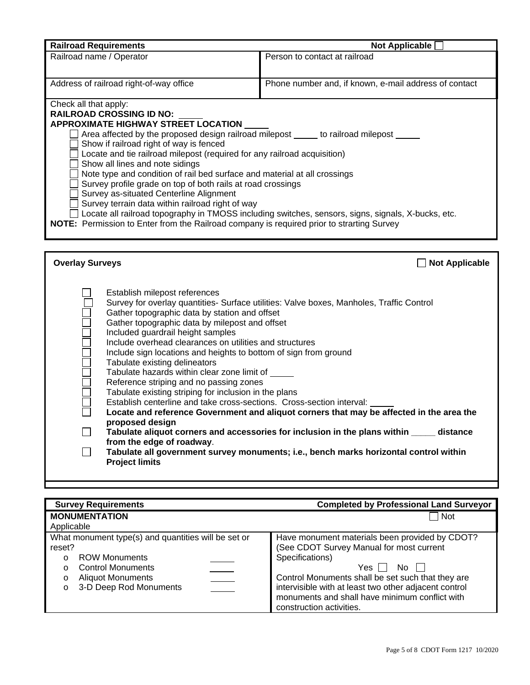| <b>Railroad Requirements</b>                                                                                                                                                                                                                                                                                                                                                                                                                                                                                                                                                                                                                                                                                                                                                                                                                                                                                                                                                                                                   | Not Applicable [                                      |  |  |
|--------------------------------------------------------------------------------------------------------------------------------------------------------------------------------------------------------------------------------------------------------------------------------------------------------------------------------------------------------------------------------------------------------------------------------------------------------------------------------------------------------------------------------------------------------------------------------------------------------------------------------------------------------------------------------------------------------------------------------------------------------------------------------------------------------------------------------------------------------------------------------------------------------------------------------------------------------------------------------------------------------------------------------|-------------------------------------------------------|--|--|
| Railroad name / Operator                                                                                                                                                                                                                                                                                                                                                                                                                                                                                                                                                                                                                                                                                                                                                                                                                                                                                                                                                                                                       | Person to contact at railroad                         |  |  |
|                                                                                                                                                                                                                                                                                                                                                                                                                                                                                                                                                                                                                                                                                                                                                                                                                                                                                                                                                                                                                                |                                                       |  |  |
| Address of railroad right-of-way office                                                                                                                                                                                                                                                                                                                                                                                                                                                                                                                                                                                                                                                                                                                                                                                                                                                                                                                                                                                        | Phone number and, if known, e-mail address of contact |  |  |
| Check all that apply:<br><b>RAILROAD CROSSING ID NO:</b><br><b>APPROXIMATE HIGHWAY STREET LOCATION</b><br>Area affected by the proposed design railroad milepost ______ to railroad milepost ______<br>Show if railroad right of way is fenced<br>Locate and tie railroad milepost (required for any railroad acquisition)<br>Show all lines and note sidings<br>Note type and condition of rail bed surface and material at all crossings<br>Survey profile grade on top of both rails at road crossings<br>Survey as-situated Centerline Alignment<br>Survey terrain data within railroad right of way<br>$\Box$ Locate all railroad topography in TMOSS including switches, sensors, signs, signals, X-bucks, etc.<br>NOTE: Permission to Enter from the Railroad company is required prior to strarting Survey                                                                                                                                                                                                             |                                                       |  |  |
|                                                                                                                                                                                                                                                                                                                                                                                                                                                                                                                                                                                                                                                                                                                                                                                                                                                                                                                                                                                                                                |                                                       |  |  |
| <b>Overlay Surveys</b>                                                                                                                                                                                                                                                                                                                                                                                                                                                                                                                                                                                                                                                                                                                                                                                                                                                                                                                                                                                                         | <b>Not Applicable</b>                                 |  |  |
| Establish milepost references<br>Survey for overlay quantities- Surface utilities: Valve boxes, Manholes, Traffic Control<br>Gather topographic data by station and offset<br>Gather topographic data by milepost and offset<br>Included guardrail height samples<br>Include overhead clearances on utilities and structures<br>Include sign locations and heights to bottom of sign from ground<br>Tabulate existing delineators<br>Tabulate hazards within clear zone limit of<br>Reference striping and no passing zones<br>Tabulate existing striping for inclusion in the plans<br>Establish centerline and take cross-sections. Cross-section interval:<br>Locate and reference Government and aliquot corners that may be affected in the area the<br>proposed design<br>┓<br>Tabulate aliquot corners and accessories for inclusion in the plans within ______ distance<br>from the edge of roadway.<br>Tabulate all government survey monuments; i.e., bench marks horizontal control within<br><b>Project limits</b> |                                                       |  |  |

| <b>Survey Requirements</b>                                                                                                                                                                                | <b>Completed by Professional Land Surveyor</b>                                                                                                                                                                                                                                                                              |  |
|-----------------------------------------------------------------------------------------------------------------------------------------------------------------------------------------------------------|-----------------------------------------------------------------------------------------------------------------------------------------------------------------------------------------------------------------------------------------------------------------------------------------------------------------------------|--|
| <b>MONUMENTATION</b><br>Applicable                                                                                                                                                                        | <b>Not</b>                                                                                                                                                                                                                                                                                                                  |  |
| What monument type(s) and quantities will be set or<br>reset?<br><b>ROW Monuments</b><br>$\Omega$<br><b>Control Monuments</b><br>$\circ$<br><b>Aliquot Monuments</b><br>$\circ$<br>3-D Deep Rod Monuments | Have monument materials been provided by CDOT?<br>(See CDOT Survey Manual for most current<br>Specifications)<br>Yes I I<br>No.<br>Control Monuments shall be set such that they are<br>intervisible with at least two other adjacent control<br>monuments and shall have minimum conflict with<br>construction activities. |  |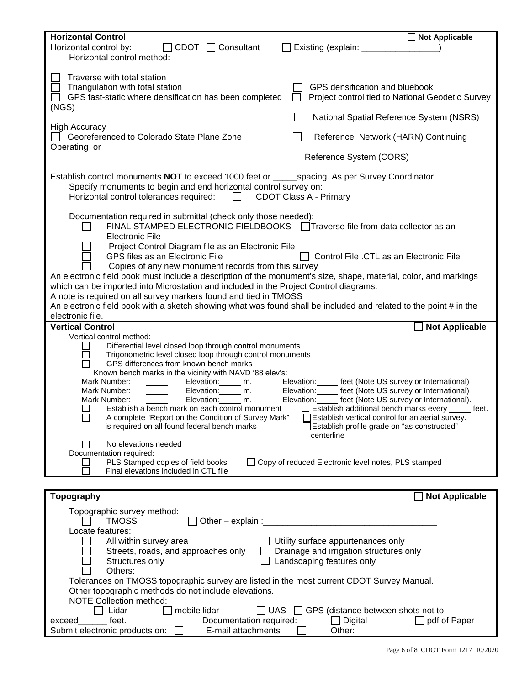| <b>Horizontal Control</b><br><b>Not Applicable</b>                                                                                                                                                                                                                                                                                                                                                                                                                                                                                                                                                                                                                                                                                                                                                                                                                                                                                                                                                                                                  |  |  |
|-----------------------------------------------------------------------------------------------------------------------------------------------------------------------------------------------------------------------------------------------------------------------------------------------------------------------------------------------------------------------------------------------------------------------------------------------------------------------------------------------------------------------------------------------------------------------------------------------------------------------------------------------------------------------------------------------------------------------------------------------------------------------------------------------------------------------------------------------------------------------------------------------------------------------------------------------------------------------------------------------------------------------------------------------------|--|--|
| $C$ DOT $\Box$<br>Horizontal control by:<br>Consultant<br>Existing (explain: ___<br>Horizontal control method:                                                                                                                                                                                                                                                                                                                                                                                                                                                                                                                                                                                                                                                                                                                                                                                                                                                                                                                                      |  |  |
| Traverse with total station<br>Triangulation with total station<br>GPS densification and bluebook<br>GPS fast-static where densification has been completed<br>Project control tied to National Geodetic Survey<br>(NGS)                                                                                                                                                                                                                                                                                                                                                                                                                                                                                                                                                                                                                                                                                                                                                                                                                            |  |  |
| National Spatial Reference System (NSRS)                                                                                                                                                                                                                                                                                                                                                                                                                                                                                                                                                                                                                                                                                                                                                                                                                                                                                                                                                                                                            |  |  |
| <b>High Accuracy</b><br>Georeferenced to Colorado State Plane Zone<br>Reference Network (HARN) Continuing<br>Operating or                                                                                                                                                                                                                                                                                                                                                                                                                                                                                                                                                                                                                                                                                                                                                                                                                                                                                                                           |  |  |
| Reference System (CORS)                                                                                                                                                                                                                                                                                                                                                                                                                                                                                                                                                                                                                                                                                                                                                                                                                                                                                                                                                                                                                             |  |  |
| Establish control monuments <b>NOT</b> to exceed 1000 feet or _______ spacing. As per Survey Coordinator<br>Specify monuments to begin and end horizontal control survey on:<br>Horizontal control tolerances required: $\Box$<br><b>CDOT Class A - Primary</b>                                                                                                                                                                                                                                                                                                                                                                                                                                                                                                                                                                                                                                                                                                                                                                                     |  |  |
| Documentation required in submittal (check only those needed):<br>FINAL STAMPED ELECTRONIC FIELDBOOKS □ Traverse file from data collector as an<br>Electronic File<br>Project Control Diagram file as an Electronic File                                                                                                                                                                                                                                                                                                                                                                                                                                                                                                                                                                                                                                                                                                                                                                                                                            |  |  |
| GPS files as an Electronic File<br>Control File .CTL as an Electronic File<br>Copies of any new monument records from this survey<br>An electronic field book must include a description of the monument's size, shape, material, color, and markings                                                                                                                                                                                                                                                                                                                                                                                                                                                                                                                                                                                                                                                                                                                                                                                               |  |  |
| which can be imported into Microstation and included in the Project Control diagrams.<br>A note is required on all survey markers found and tied in TMOSS                                                                                                                                                                                                                                                                                                                                                                                                                                                                                                                                                                                                                                                                                                                                                                                                                                                                                           |  |  |
| An electronic field book with a sketch showing what was found shall be included and related to the point # in the<br>electronic file.                                                                                                                                                                                                                                                                                                                                                                                                                                                                                                                                                                                                                                                                                                                                                                                                                                                                                                               |  |  |
| <b>Vertical Control</b><br><b>Not Applicable</b>                                                                                                                                                                                                                                                                                                                                                                                                                                                                                                                                                                                                                                                                                                                                                                                                                                                                                                                                                                                                    |  |  |
| Vertical control method:<br>Differential level closed loop through control monuments<br>Trigonometric level closed loop through control monuments<br>GPS differences from known bench marks<br>Known bench marks in the vicinity with NAVD '88 elev's:<br>Mark Number:<br>Elevation: ______ feet (Note US survey or International)<br>Elevation: _____ m.<br>Elevation: ______ feet (Note US survey or International)<br>Mark Number:<br>Elevation: _____ m.<br>Elevation: ______ feet (Note US survey or International).<br>Mark Number:<br>Elevation: m.<br>Establish a bench mark on each control monument $\Box$ Establish additional bench marks every $\Box$ feet.<br>A complete "Report on the Condition of Survey Mark"<br>Establish vertical control for an aerial survey.<br>□ Establish profile grade on "as constructed"<br>is required on all found federal bench marks<br>centerline<br>No elevations needed<br>Documentation required:<br>PLS Stamped copies of field books<br>□ Copy of reduced Electronic level notes, PLS stamped |  |  |
| Final elevations included in CTL file                                                                                                                                                                                                                                                                                                                                                                                                                                                                                                                                                                                                                                                                                                                                                                                                                                                                                                                                                                                                               |  |  |
| Topography<br><b>Not Applicable</b>                                                                                                                                                                                                                                                                                                                                                                                                                                                                                                                                                                                                                                                                                                                                                                                                                                                                                                                                                                                                                 |  |  |
| Topographic survey method:<br><b>TMOSS</b><br>Locate features:                                                                                                                                                                                                                                                                                                                                                                                                                                                                                                                                                                                                                                                                                                                                                                                                                                                                                                                                                                                      |  |  |
| All within survey area<br>Utility surface appurtenances only<br>Drainage and irrigation structures only<br>Streets, roads, and approaches only<br>Landscaping features only<br>Structures only<br>Others:                                                                                                                                                                                                                                                                                                                                                                                                                                                                                                                                                                                                                                                                                                                                                                                                                                           |  |  |
| Tolerances on TMOSS topographic survey are listed in the most current CDOT Survey Manual.<br>Other topographic methods do not include elevations.<br><b>NOTE Collection method:</b>                                                                                                                                                                                                                                                                                                                                                                                                                                                                                                                                                                                                                                                                                                                                                                                                                                                                 |  |  |
| mobile lidar<br>Lidar<br>$\Box$ UAS<br>GPS (distance between shots not to<br>feet.<br>Documentation required:<br>$\Box$ Digital<br>$\Box$ pdf of Paper<br>exceed<br>Submit electronic products on:<br>E-mail attachments<br>Other:                                                                                                                                                                                                                                                                                                                                                                                                                                                                                                                                                                                                                                                                                                                                                                                                                  |  |  |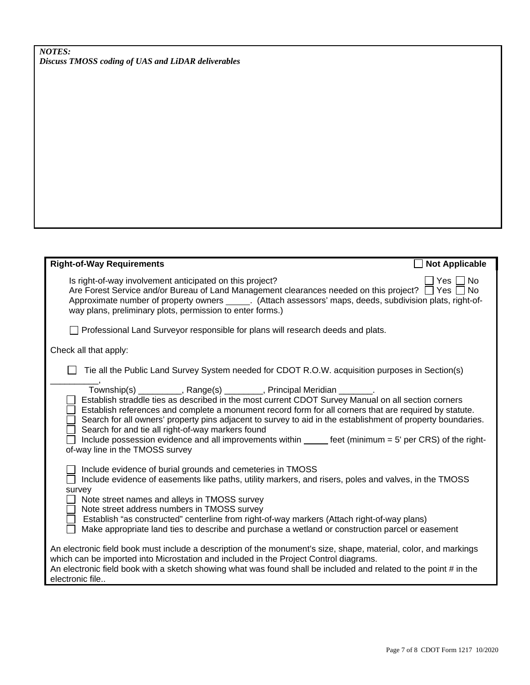*Discuss TMOSS coding of UAS and LiDAR deliverables*

| <b>Right-of-Way Requirements</b>                                                                                                                                                                                                                                                                                                                                                                                                                                                                                               | <b>Not Applicable</b> |
|--------------------------------------------------------------------------------------------------------------------------------------------------------------------------------------------------------------------------------------------------------------------------------------------------------------------------------------------------------------------------------------------------------------------------------------------------------------------------------------------------------------------------------|-----------------------|
| Is right-of-way involvement anticipated on this project?<br>Are Forest Service and/or Bureau of Land Management clearances needed on this project? $\Box$ Yes $\Box$<br>Approximate number of property owners ______. (Attach assessors' maps, deeds, subdivision plats, right-of-<br>way plans, preliminary plots, permission to enter forms.)                                                                                                                                                                                | No.<br>Yes<br>No.     |
| Professional Land Surveyor responsible for plans will research deeds and plats.                                                                                                                                                                                                                                                                                                                                                                                                                                                |                       |
| Check all that apply:                                                                                                                                                                                                                                                                                                                                                                                                                                                                                                          |                       |
| Tie all the Public Land Survey System needed for CDOT R.O.W. acquisition purposes in Section(s)<br>Township(s) _________, Range(s) _______, Principal Meridian _______.                                                                                                                                                                                                                                                                                                                                                        |                       |
| Establish straddle ties as described in the most current CDOT Survey Manual on all section corners<br>Establish references and complete a monument record form for all corners that are required by statute.<br>Search for all owners' property pins adjacent to survey to aid in the establishment of property boundaries.<br>Search for and tie all right-of-way markers found<br>Include possession evidence and all improvements within _____ feet (minimum = 5' per CRS) of the right-<br>of-way line in the TMOSS survey |                       |
| Include evidence of burial grounds and cemeteries in TMOSS<br>Include evidence of easements like paths, utility markers, and risers, poles and valves, in the TMOSS<br>survey                                                                                                                                                                                                                                                                                                                                                  |                       |
| Note street names and alleys in TMOSS survey<br>Note street address numbers in TMOSS survey                                                                                                                                                                                                                                                                                                                                                                                                                                    |                       |
| Establish "as constructed" centerline from right-of-way markers (Attach right-of-way plans)<br>Make appropriate land ties to describe and purchase a wetland or construction parcel or easement                                                                                                                                                                                                                                                                                                                                |                       |
| An electronic field book must include a description of the monument's size, shape, material, color, and markings<br>which can be imported into Microstation and included in the Project Control diagrams.<br>An electronic field book with a sketch showing what was found shall be included and related to the point # in the<br>electronic file                                                                                                                                                                              |                       |